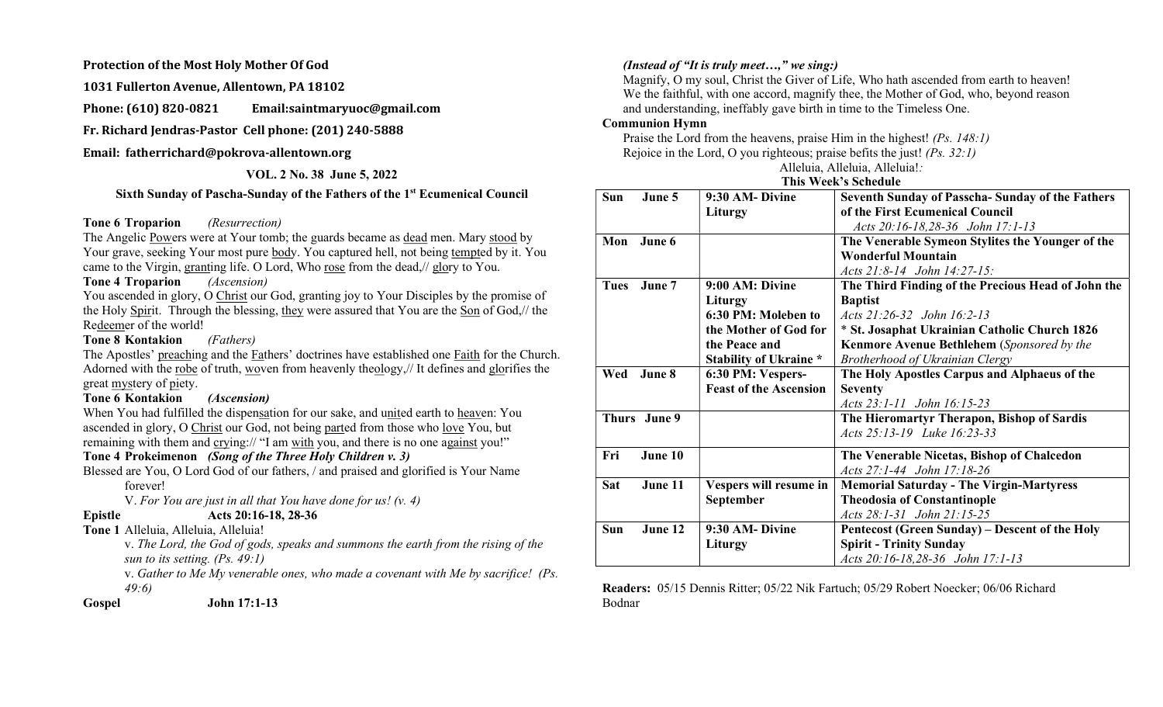#### Protection of the Most Holy Mother Of God

1031 Fullerton Avenue, Allentown, PA 18102

Phone: (610) 820-0821 Email:saintmaryuoc@gmail.com

Fr. Richard Jendras-Pastor Cell phone: (201) 240-5888

#### Email: fatherrichard@pokrova-allentown.org

## VOL. 2 No. 38 June 5, 2022

# Sixth Sunday of Pascha-Sunday of the Fathers of the 1st Ecumenical Council

#### Tone 6 Troparion (Resurrection)

The Angelic Powers were at Your tomb; the guards became as dead men. Mary stood by Your grave, seeking Your most pure body. You captured hell, not being tempted by it. You came to the Virgin, granting life. O Lord, Who rose from the dead,// glory to You.

#### Tone 4 Troparion (Ascension)

You ascended in glory, O Christ our God, granting joy to Your Disciples by the promise of the Holy Spirit. Through the blessing, they were assured that You are the Son of God,// the Redeemer of the world!

# Tone 8 Kontakion (Fathers)

The Apostles' preaching and the Fathers' doctrines have established one Faith for the Church. Adorned with the robe of truth, woven from heavenly theology,// It defines and glorifies the great mystery of piety.

# Tone 6 Kontakion (Ascension)

When You had fulfilled the dispensation for our sake, and united earth to heaven: You ascended in glory, O Christ our God, not being parted from those who love You, but remaining with them and crying:// "I am with you, and there is no one against you!"

# Tone 4 Prokeimenon (Song of the Three Holy Children v. 3)

Blessed are You, O Lord God of our fathers, / and praised and glorified is Your Name forever!

V. For You are just in all that You have done for us!  $(v. 4)$ 

# Epistle Acts 20:16-18, 28-36

# Tone 1 Alleluia, Alleluia, Alleluia!

v. The Lord, the God of gods, speaks and summons the earth from the rising of the sun to its setting. (Ps. 49:1)

v. Gather to Me My venerable ones, who made a covenant with Me by sacrifice! (Ps. 49:6)

Gospel John 17:1-13

# (Instead of "It is truly meet...," we sing:)

Magnify, O my soul, Christ the Giver of Life, Who hath ascended from earth to heaven! We the faithful, with one accord, magnify thee, the Mother of God, who, beyond reason and understanding, ineffably gave birth in time to the Timeless One.

# Communion Hymn

Praise the Lord from the heavens, praise Him in the highest! (Ps. 148:1) Rejoice in the Lord, O you righteous; praise befits the just! (Ps. 32:1)

Alleluia, Alleluia, Alleluia!:

# This Week's Schedule

| Sun        | June 5       | 9:30 AM-Divine                | <b>Seventh Sunday of Passcha-Sunday of the Fathers</b> |
|------------|--------------|-------------------------------|--------------------------------------------------------|
|            |              | Liturgy                       | of the First Ecumenical Council                        |
|            |              |                               | Acts 20:16-18,28-36 John 17:1-13                       |
| Mon        | June 6       |                               | The Venerable Symeon Stylites the Younger of the       |
|            |              |                               | <b>Wonderful Mountain</b>                              |
|            |              |                               | Acts 21:8-14 John 14:27-15:                            |
| Tues       | June 7       | 9:00 AM: Divine               | The Third Finding of the Precious Head of John the     |
|            |              | Liturgy                       | <b>Baptist</b>                                         |
|            |              | 6:30 PM: Moleben to           | Acts 21:26-32 John 16:2-13                             |
|            |              | the Mother of God for         | * St. Josaphat Ukrainian Catholic Church 1826          |
|            |              | the Peace and                 | <b>Kenmore Avenue Bethlehem</b> (Sponsored by the      |
|            |              | <b>Stability of Ukraine *</b> | Brotherhood of Ukrainian Clergy                        |
| Wed        | June 8       | 6:30 PM: Vespers-             | The Holy Apostles Carpus and Alphaeus of the           |
|            |              | <b>Feast of the Ascension</b> | <b>Seventy</b>                                         |
|            |              |                               | Acts 23:1-11 John 16:15-23                             |
|            | Thurs June 9 |                               | The Hieromartyr Therapon, Bishop of Sardis             |
|            |              |                               | Acts 25:13-19 Luke 16:23-33                            |
| Fri        | June 10      |                               |                                                        |
|            |              |                               | The Venerable Nicetas, Bishop of Chalcedon             |
|            |              |                               | Acts 27:1-44 John 17:18-26                             |
| <b>Sat</b> | June 11      | Vespers will resume in        | <b>Memorial Saturday - The Virgin-Martyress</b>        |
|            |              | September                     | <b>Theodosia of Constantinople</b>                     |
|            |              |                               | Acts 28:1-31 John 21:15-25                             |
| Sun        | June 12      | 9:30 AM-Divine                | Pentecost (Green Sunday) – Descent of the Holy         |
|            |              | Liturgy                       | <b>Spirit - Trinity Sunday</b>                         |
|            |              |                               | Acts 20:16-18,28-36 John 17:1-13                       |

Readers: 05/15 Dennis Ritter; 05/22 Nik Fartuch; 05/29 Robert Noecker; 06/06 Richard Bodnar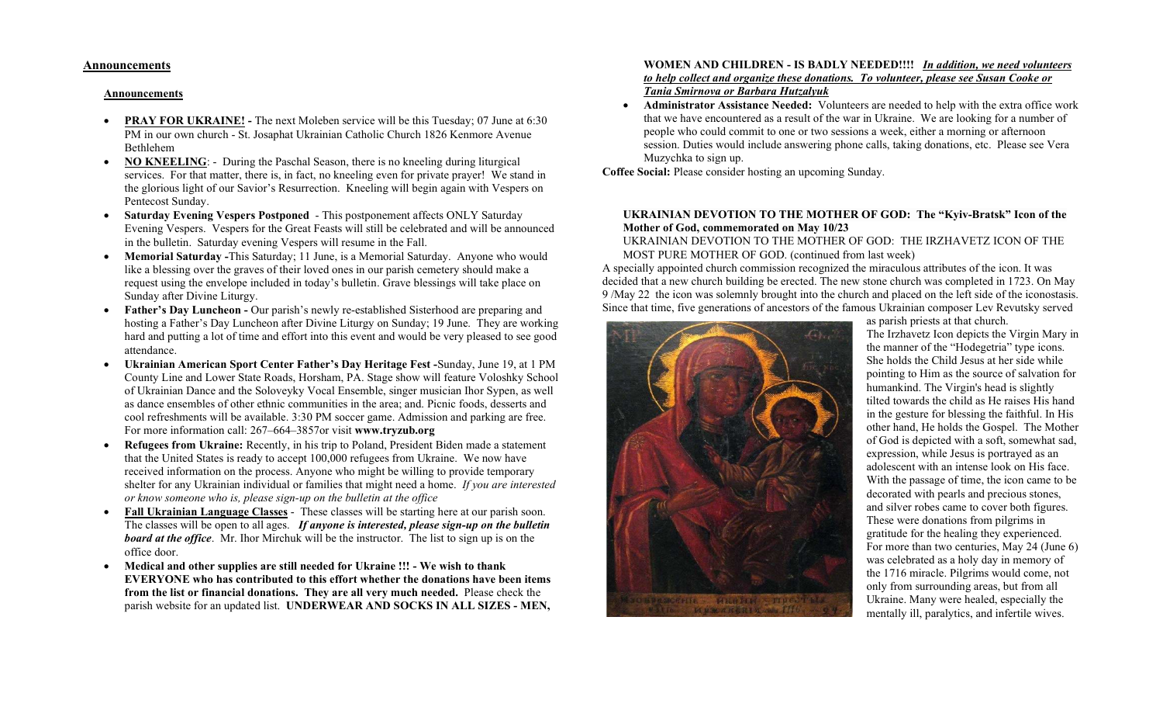#### Announcements

#### Announcements

- PRAY FOR UKRAINE! The next Moleben service will be this Tuesday; 07 June at 6:30 PM in our own church - St. Josaphat Ukrainian Catholic Church 1826 Kenmore Avenue Bethlehem
- NO KNEELING: During the Paschal Season, there is no kneeling during liturgical services. For that matter, there is, in fact, no kneeling even for private prayer! We stand in the glorious light of our Savior's Resurrection. Kneeling will begin again with Vespers on Pentecost Sunday.
- Saturday Evening Vespers Postponed This postponement affects ONLY Saturday Evening Vespers. Vespers for the Great Feasts will still be celebrated and will be announced in the bulletin. Saturday evening Vespers will resume in the Fall.
- Memorial Saturday -This Saturday; 11 June, is a Memorial Saturday. Anyone who would like a blessing over the graves of their loved ones in our parish cemetery should make a request using the envelope included in today's bulletin. Grave blessings will take place on Sunday after Divine Liturgy.
- Father's Day Luncheon Our parish's newly re-established Sisterhood are preparing and hosting a Father's Day Luncheon after Divine Liturgy on Sunday; 19 June. They are working hard and putting a lot of time and effort into this event and would be very pleased to see good attendance.
- Ukrainian American Sport Center Father's Day Heritage Fest -Sunday, June 19, at 1 PM County Line and Lower State Roads, Horsham, PA. Stage show will feature Voloshky School of Ukrainian Dance and the Soloveyky Vocal Ensemble, singer musician Ihor Sypen, as well as dance ensembles of other ethnic communities in the area; and. Picnic foods, desserts and cool refreshments will be available. 3:30 PM soccer game. Admission and parking are free. For more information call: 267–664–3857or visit www.tryzub.org
- Refugees from Ukraine: Recently, in his trip to Poland, President Biden made a statement that the United States is ready to accept 100,000 refugees from Ukraine. We now have received information on the process. Anyone who might be willing to provide temporary shelter for any Ukrainian individual or families that might need a home. If you are interested or know someone who is, please sign-up on the bulletin at the office
- Fall Ukrainian Language Classes These classes will be starting here at our parish soon. The classes will be open to all ages. If anyone is interested, please sign-up on the bulletin **board at the office.** Mr. Ihor Mirchuk will be the instructor. The list to sign up is on the office door.
- Medical and other supplies are still needed for Ukraine !!! We wish to thank EVERYONE who has contributed to this effort whether the donations have been items from the list or financial donations. They are all very much needed. Please check the parish website for an updated list. UNDERWEAR AND SOCKS IN ALL SIZES - MEN,

#### WOMEN AND CHILDREN - IS BADLY NEEDED!!!! In addition, we need volunteers to help collect and organize these donations. To volunteer, please see Susan Cooke or Tania Smirnova or Barbara Hutzalyuk

 Administrator Assistance Needed: Volunteers are needed to help with the extra office work that we have encountered as a result of the war in Ukraine. We are looking for a number of people who could commit to one or two sessions a week, either a morning or afternoon session. Duties would include answering phone calls, taking donations, etc. Please see Vera Muzychka to sign up.

Coffee Social: Please consider hosting an upcoming Sunday.

#### UKRAINIAN DEVOTION TO THE MOTHER OF GOD: The "Kyiv-Bratsk" Icon of the Mother of God, commemorated on May 10/23

UKRAINIAN DEVOTION TO THE MOTHER OF GOD: THE IRZHAVETZ ICON OF THE MOST PURE MOTHER OF GOD. (continued from last week)

A specially appointed church commission recognized the miraculous attributes of the icon. It was decided that a new church building be erected. The new stone church was completed in 1723. On May 9 /May 22 the icon was solemnly brought into the church and placed on the left side of the iconostasis. Since that time, five generations of ancestors of the famous Ukrainian composer Lev Revutsky served



as parish priests at that church. The Irzhavetz Icon depicts the Virgin Mary in the manner of the "Hodegetria" type icons. She holds the Child Jesus at her side while pointing to Him as the source of salvation for humankind. The Virgin's head is slightly tilted towards the child as He raises His hand in the gesture for blessing the faithful. In His other hand, He holds the Gospel. The Mother of God is depicted with a soft, somewhat sad, expression, while Jesus is portrayed as an adolescent with an intense look on His face. With the passage of time, the icon came to be decorated with pearls and precious stones, and silver robes came to cover both figures. These were donations from pilgrims in gratitude for the healing they experienced. For more than two centuries, May 24 (June 6) was celebrated as a holy day in memory of the 1716 miracle. Pilgrims would come, not only from surrounding areas, but from all Ukraine. Many were healed, especially the mentally ill, paralytics, and infertile wives.